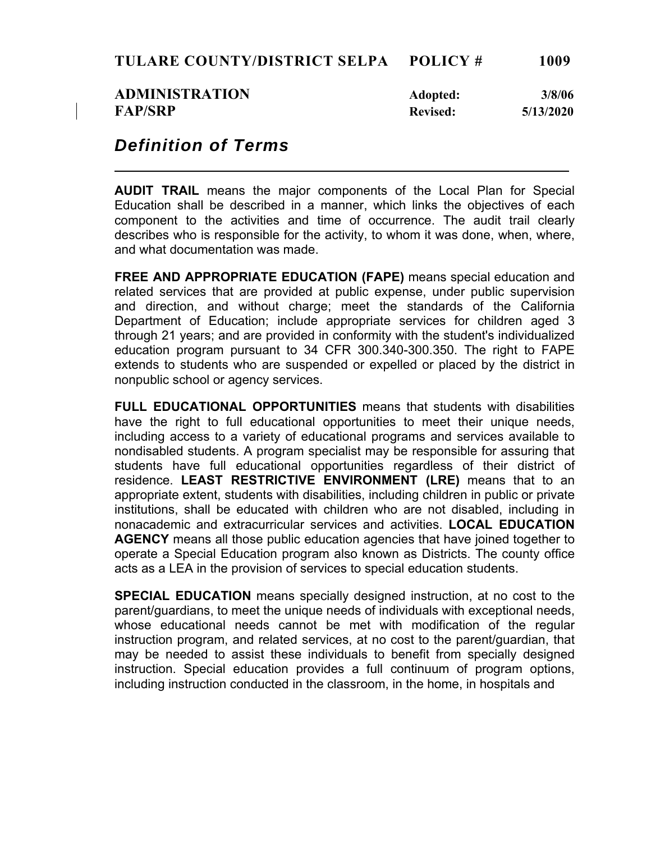| <b>ADMINISTRATION</b> | Adopted:        | 3/8/06    |
|-----------------------|-----------------|-----------|
| <b>FAP/SRP</b>        | <b>Revised:</b> | 5/13/2020 |

## *Definition of Terms*

**AUDIT TRAIL** means the major components of the Local Plan for Special Education shall be described in a manner, which links the objectives of each component to the activities and time of occurrence. The audit trail clearly describes who is responsible for the activity, to whom it was done, when, where, and what documentation was made.

**FREE AND APPROPRIATE EDUCATION (FAPE)** means special education and related services that are provided at public expense, under public supervision and direction, and without charge; meet the standards of the California Department of Education; include appropriate services for children aged 3 through 21 years; and are provided in conformity with the student's individualized education program pursuant to 34 CFR 300.340-300.350. The right to FAPE extends to students who are suspended or expelled or placed by the district in nonpublic school or agency services.

**FULL EDUCATIONAL OPPORTUNITIES** means that students with disabilities have the right to full educational opportunities to meet their unique needs, including access to a variety of educational programs and services available to nondisabled students. A program specialist may be responsible for assuring that students have full educational opportunities regardless of their district of residence. **LEAST RESTRICTIVE ENVIRONMENT (LRE)** means that to an appropriate extent, students with disabilities, including children in public or private institutions, shall be educated with children who are not disabled, including in nonacademic and extracurricular services and activities. **LOCAL EDUCATION AGENCY** means all those public education agencies that have joined together to operate a Special Education program also known as Districts. The county office acts as a LEA in the provision of services to special education students.

**SPECIAL EDUCATION** means specially designed instruction, at no cost to the parent/guardians, to meet the unique needs of individuals with exceptional needs, whose educational needs cannot be met with modification of the regular instruction program, and related services, at no cost to the parent/guardian, that may be needed to assist these individuals to benefit from specially designed instruction. Special education provides a full continuum of program options, including instruction conducted in the classroom, in the home, in hospitals and